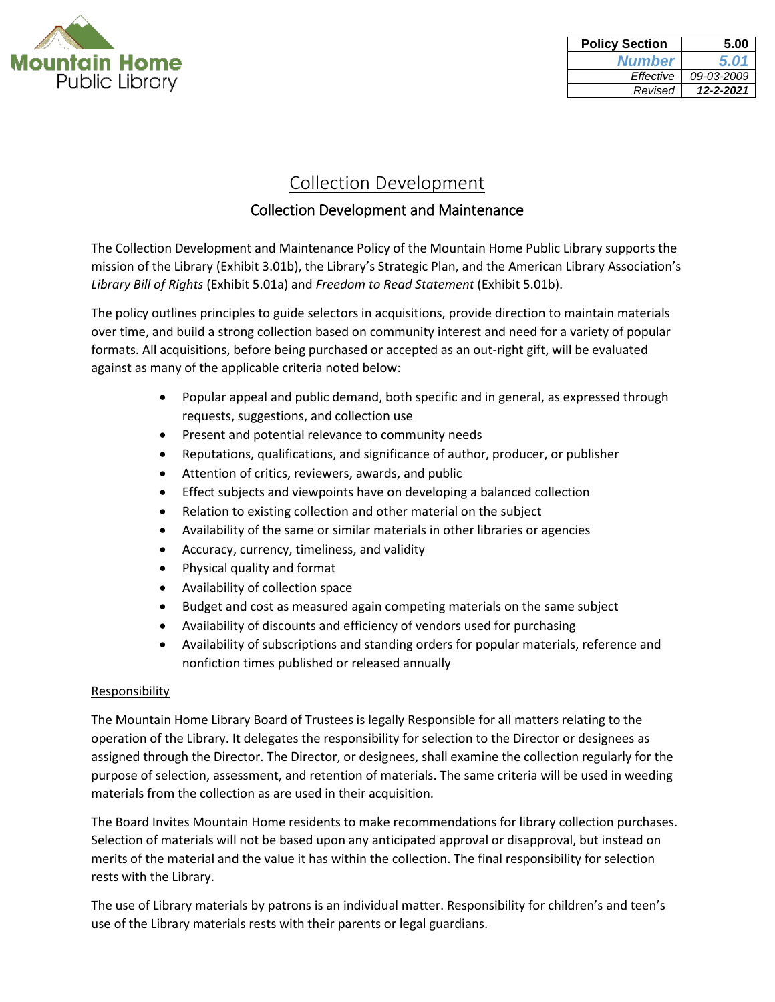

| <b>Policy Section</b> | 5.00       |
|-----------------------|------------|
| <b>Number</b>         | 5.01       |
| Effective             | 09-03-2009 |
| Revised               | 12-2-2021  |

# Collection Development

## Collection Development and Maintenance

The Collection Development and Maintenance Policy of the Mountain Home Public Library supports the mission of the Library (Exhibit 3.01b), the Library's Strategic Plan, and the American Library Association's *Library Bill of Rights* (Exhibit 5.01a) and *Freedom to Read Statement* (Exhibit 5.01b).

The policy outlines principles to guide selectors in acquisitions, provide direction to maintain materials over time, and build a strong collection based on community interest and need for a variety of popular formats. All acquisitions, before being purchased or accepted as an out-right gift, will be evaluated against as many of the applicable criteria noted below:

- Popular appeal and public demand, both specific and in general, as expressed through requests, suggestions, and collection use
- **•** Present and potential relevance to community needs
- Reputations, qualifications, and significance of author, producer, or publisher
- Attention of critics, reviewers, awards, and public
- Effect subjects and viewpoints have on developing a balanced collection
- Relation to existing collection and other material on the subject
- Availability of the same or similar materials in other libraries or agencies
- Accuracy, currency, timeliness, and validity
- Physical quality and format
- Availability of collection space
- Budget and cost as measured again competing materials on the same subject
- Availability of discounts and efficiency of vendors used for purchasing
- Availability of subscriptions and standing orders for popular materials, reference and nonfiction times published or released annually

#### Responsibility

The Mountain Home Library Board of Trustees is legally Responsible for all matters relating to the operation of the Library. It delegates the responsibility for selection to the Director or designees as assigned through the Director. The Director, or designees, shall examine the collection regularly for the purpose of selection, assessment, and retention of materials. The same criteria will be used in weeding materials from the collection as are used in their acquisition.

The Board Invites Mountain Home residents to make recommendations for library collection purchases. Selection of materials will not be based upon any anticipated approval or disapproval, but instead on merits of the material and the value it has within the collection. The final responsibility for selection rests with the Library.

The use of Library materials by patrons is an individual matter. Responsibility for children's and teen's use of the Library materials rests with their parents or legal guardians.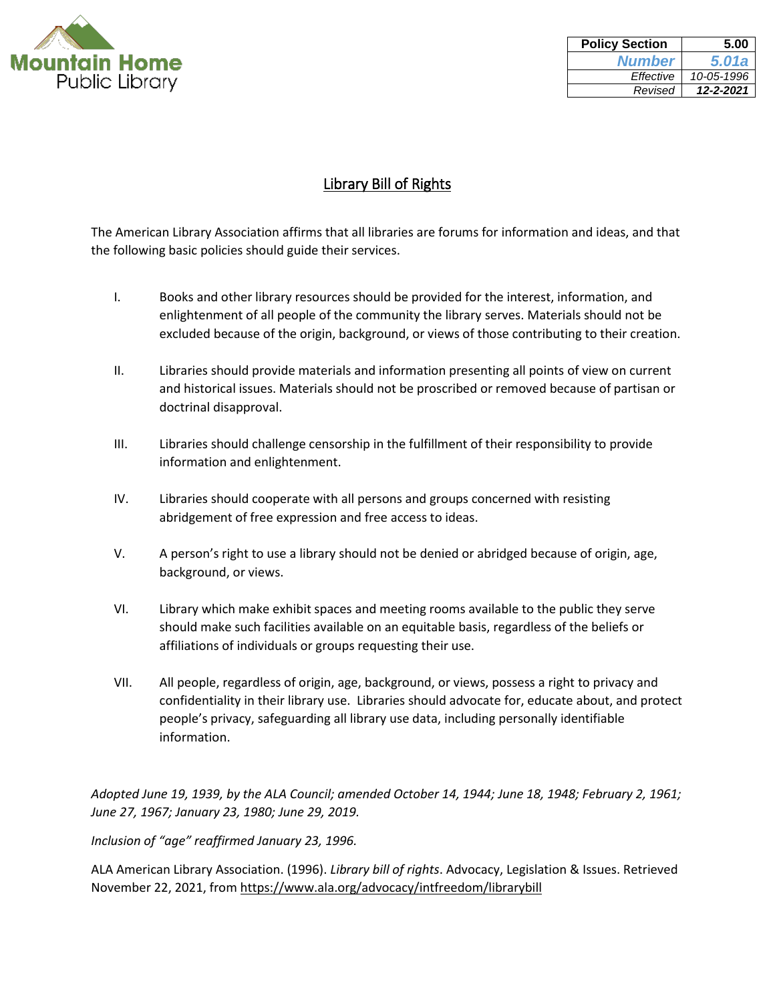

| <b>Policy Section</b> | 5.00       |
|-----------------------|------------|
| <b>Number</b>         | 5.01a      |
| Effective             | 10-05-1996 |
| Revised               | 12-2-2021  |

## Library Bill of Rights

The American Library Association affirms that all libraries are forums for information and ideas, and that the following basic policies should guide their services.

- I. Books and other library resources should be provided for the interest, information, and enlightenment of all people of the community the library serves. Materials should not be excluded because of the origin, background, or views of those contributing to their creation.
- II. Libraries should provide materials and information presenting all points of view on current and historical issues. Materials should not be proscribed or removed because of partisan or doctrinal disapproval.
- III. Libraries should challenge censorship in the fulfillment of their responsibility to provide information and enlightenment.
- IV. Libraries should cooperate with all persons and groups concerned with resisting abridgement of free expression and free access to ideas.
- V. A person's right to use a library should not be denied or abridged because of origin, age, background, or views.
- VI. Library which make exhibit spaces and meeting rooms available to the public they serve should make such facilities available on an equitable basis, regardless of the beliefs or affiliations of individuals or groups requesting their use.
- VII. All people, regardless of origin, age, background, or views, possess a right to privacy and confidentiality in their library use. Libraries should advocate for, educate about, and protect people's privacy, safeguarding all library use data, including personally identifiable information.

*Adopted June 19, 1939, by the ALA Council; amended October 14, 1944; June 18, 1948; February 2, 1961; June 27, 1967; January 23, 1980; June 29, 2019.*

*Inclusion of "age" reaffirmed January 23, 1996.* 

ALA American Library Association. (1996). *Library bill of rights*. Advocacy, Legislation & Issues. Retrieved November 22, 2021, from<https://www.ala.org/advocacy/intfreedom/librarybill>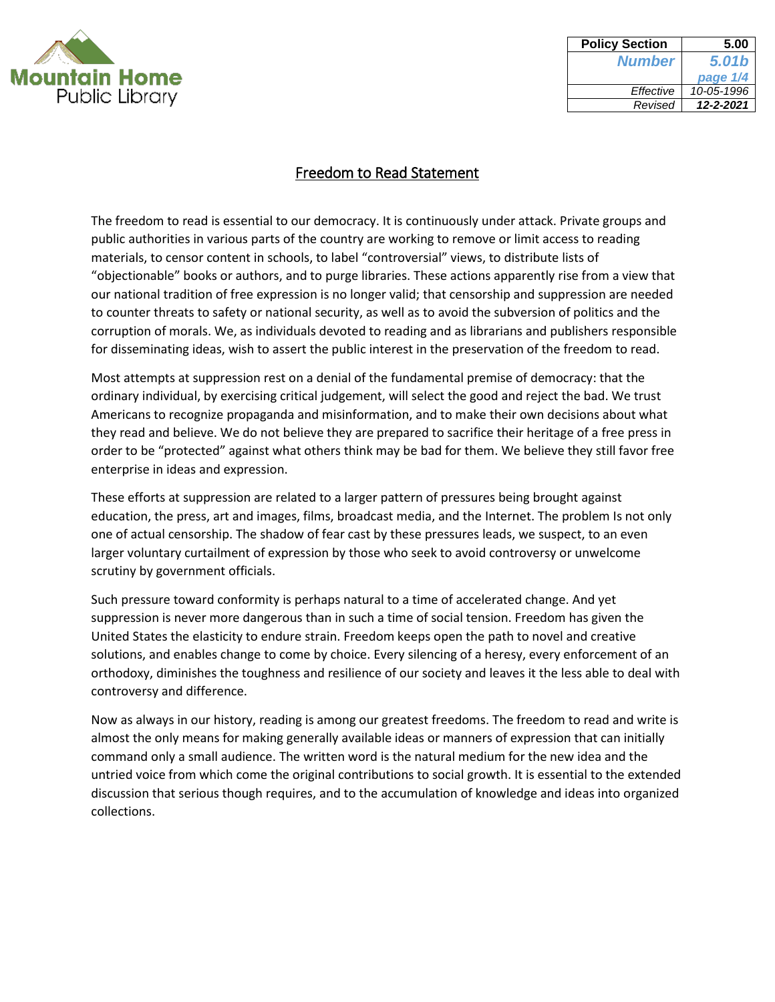

| <b>Policy Section</b> | 5.00       |
|-----------------------|------------|
| <b>Number</b>         | 5.01b      |
|                       | page 1/4   |
| Effective             | 10-05-1996 |
| Revised               | 12-2-2021  |

The freedom to read is essential to our democracy. It is continuously under attack. Private groups and public authorities in various parts of the country are working to remove or limit access to reading materials, to censor content in schools, to label "controversial" views, to distribute lists of "objectionable" books or authors, and to purge libraries. These actions apparently rise from a view that our national tradition of free expression is no longer valid; that censorship and suppression are needed to counter threats to safety or national security, as well as to avoid the subversion of politics and the corruption of morals. We, as individuals devoted to reading and as librarians and publishers responsible for disseminating ideas, wish to assert the public interest in the preservation of the freedom to read.

Most attempts at suppression rest on a denial of the fundamental premise of democracy: that the ordinary individual, by exercising critical judgement, will select the good and reject the bad. We trust Americans to recognize propaganda and misinformation, and to make their own decisions about what they read and believe. We do not believe they are prepared to sacrifice their heritage of a free press in order to be "protected" against what others think may be bad for them. We believe they still favor free enterprise in ideas and expression.

These efforts at suppression are related to a larger pattern of pressures being brought against education, the press, art and images, films, broadcast media, and the Internet. The problem Is not only one of actual censorship. The shadow of fear cast by these pressures leads, we suspect, to an even larger voluntary curtailment of expression by those who seek to avoid controversy or unwelcome scrutiny by government officials.

Such pressure toward conformity is perhaps natural to a time of accelerated change. And yet suppression is never more dangerous than in such a time of social tension. Freedom has given the United States the elasticity to endure strain. Freedom keeps open the path to novel and creative solutions, and enables change to come by choice. Every silencing of a heresy, every enforcement of an orthodoxy, diminishes the toughness and resilience of our society and leaves it the less able to deal with controversy and difference.

Now as always in our history, reading is among our greatest freedoms. The freedom to read and write is almost the only means for making generally available ideas or manners of expression that can initially command only a small audience. The written word is the natural medium for the new idea and the untried voice from which come the original contributions to social growth. It is essential to the extended discussion that serious though requires, and to the accumulation of knowledge and ideas into organized collections.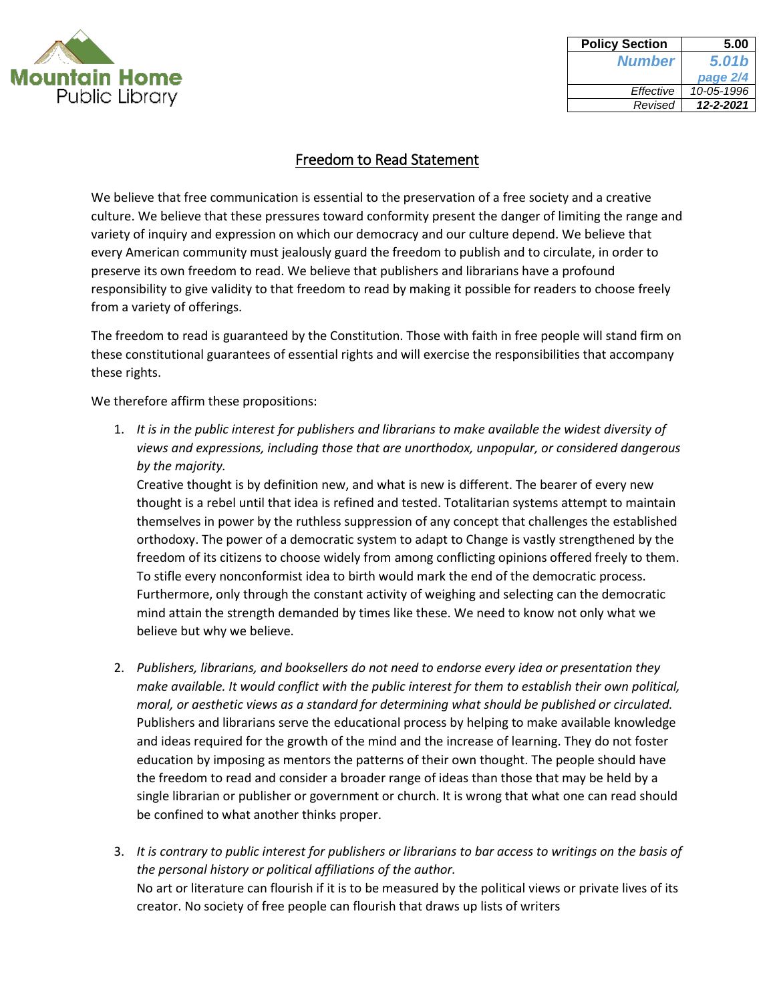

| <b>Policy Section</b> | 5.00       |
|-----------------------|------------|
| <b>Number</b>         | 5.01b      |
|                       | page 2/4   |
| Effective             | 10-05-1996 |
| Revised               | 12-2-2021  |
|                       |            |

We believe that free communication is essential to the preservation of a free society and a creative culture. We believe that these pressures toward conformity present the danger of limiting the range and variety of inquiry and expression on which our democracy and our culture depend. We believe that every American community must jealously guard the freedom to publish and to circulate, in order to preserve its own freedom to read. We believe that publishers and librarians have a profound responsibility to give validity to that freedom to read by making it possible for readers to choose freely from a variety of offerings.

The freedom to read is guaranteed by the Constitution. Those with faith in free people will stand firm on these constitutional guarantees of essential rights and will exercise the responsibilities that accompany these rights.

We therefore affirm these propositions:

1. *It is in the public interest for publishers and librarians to make available the widest diversity of views and expressions, including those that are unorthodox, unpopular, or considered dangerous by the majority.* 

Creative thought is by definition new, and what is new is different. The bearer of every new thought is a rebel until that idea is refined and tested. Totalitarian systems attempt to maintain themselves in power by the ruthless suppression of any concept that challenges the established orthodoxy. The power of a democratic system to adapt to Change is vastly strengthened by the freedom of its citizens to choose widely from among conflicting opinions offered freely to them. To stifle every nonconformist idea to birth would mark the end of the democratic process. Furthermore, only through the constant activity of weighing and selecting can the democratic mind attain the strength demanded by times like these. We need to know not only what we believe but why we believe.

- 2. *Publishers, librarians, and booksellers do not need to endorse every idea or presentation they make available. It would conflict with the public interest for them to establish their own political, moral, or aesthetic views as a standard for determining what should be published or circulated.*  Publishers and librarians serve the educational process by helping to make available knowledge and ideas required for the growth of the mind and the increase of learning. They do not foster education by imposing as mentors the patterns of their own thought. The people should have the freedom to read and consider a broader range of ideas than those that may be held by a single librarian or publisher or government or church. It is wrong that what one can read should be confined to what another thinks proper.
- 3. *It is contrary to public interest for publishers or librarians to bar access to writings on the basis of the personal history or political affiliations of the author.*  No art or literature can flourish if it is to be measured by the political views or private lives of its creator. No society of free people can flourish that draws up lists of writers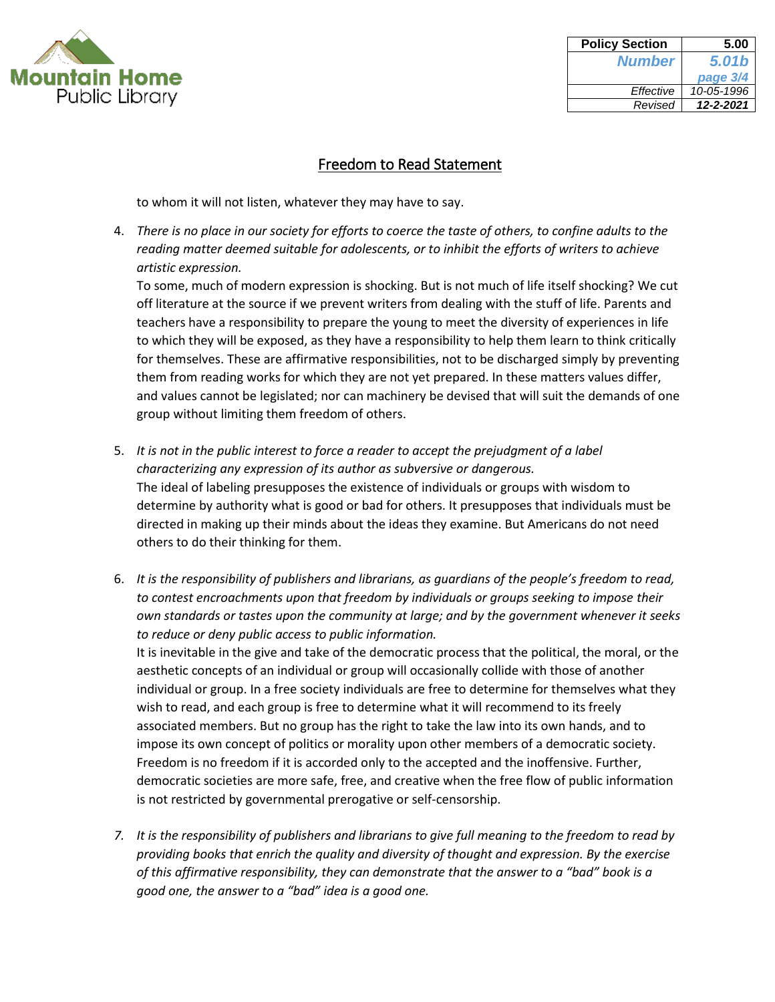

| <b>Policy Section</b> | 5.00       |
|-----------------------|------------|
| <b>Number</b>         | 5.01b      |
|                       | page 3/4   |
| Effective             | 10-05-1996 |
| Revised               | 12-2-2021  |
|                       |            |

to whom it will not listen, whatever they may have to say.

4. *There is no place in our society for efforts to coerce the taste of others, to confine adults to the reading matter deemed suitable for adolescents, or to inhibit the efforts of writers to achieve artistic expression.*

To some, much of modern expression is shocking. But is not much of life itself shocking? We cut off literature at the source if we prevent writers from dealing with the stuff of life. Parents and teachers have a responsibility to prepare the young to meet the diversity of experiences in life to which they will be exposed, as they have a responsibility to help them learn to think critically for themselves. These are affirmative responsibilities, not to be discharged simply by preventing them from reading works for which they are not yet prepared. In these matters values differ, and values cannot be legislated; nor can machinery be devised that will suit the demands of one group without limiting them freedom of others.

- 5. *It is not in the public interest to force a reader to accept the prejudgment of a label characterizing any expression of its author as subversive or dangerous.*  The ideal of labeling presupposes the existence of individuals or groups with wisdom to determine by authority what is good or bad for others. It presupposes that individuals must be directed in making up their minds about the ideas they examine. But Americans do not need others to do their thinking for them.
- 6. *It is the responsibility of publishers and librarians, as guardians of the people's freedom to read, to contest encroachments upon that freedom by individuals or groups seeking to impose their own standards or tastes upon the community at large; and by the government whenever it seeks to reduce or deny public access to public information.*

It is inevitable in the give and take of the democratic process that the political, the moral, or the aesthetic concepts of an individual or group will occasionally collide with those of another individual or group. In a free society individuals are free to determine for themselves what they wish to read, and each group is free to determine what it will recommend to its freely associated members. But no group has the right to take the law into its own hands, and to impose its own concept of politics or morality upon other members of a democratic society. Freedom is no freedom if it is accorded only to the accepted and the inoffensive. Further, democratic societies are more safe, free, and creative when the free flow of public information is not restricted by governmental prerogative or self-censorship.

*7. It is the responsibility of publishers and librarians to give full meaning to the freedom to read by providing books that enrich the quality and diversity of thought and expression. By the exercise of this affirmative responsibility, they can demonstrate that the answer to a "bad" book is a good one, the answer to a "bad" idea is a good one.*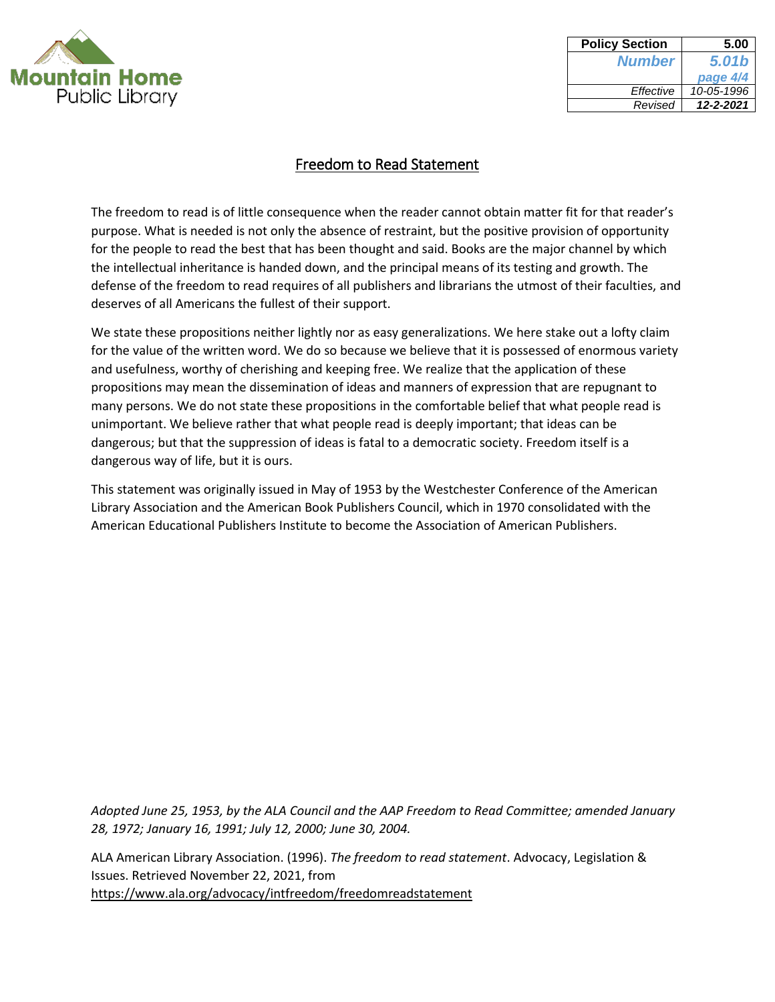

| <b>Policy Section</b> | 5.00       |
|-----------------------|------------|
| <b>Number</b>         | 5.01b      |
|                       | page 4/4   |
| Effective             | 10-05-1996 |
| Revised               | 12-2-2021  |

The freedom to read is of little consequence when the reader cannot obtain matter fit for that reader's purpose. What is needed is not only the absence of restraint, but the positive provision of opportunity for the people to read the best that has been thought and said. Books are the major channel by which the intellectual inheritance is handed down, and the principal means of its testing and growth. The defense of the freedom to read requires of all publishers and librarians the utmost of their faculties, and deserves of all Americans the fullest of their support.

We state these propositions neither lightly nor as easy generalizations. We here stake out a lofty claim for the value of the written word. We do so because we believe that it is possessed of enormous variety and usefulness, worthy of cherishing and keeping free. We realize that the application of these propositions may mean the dissemination of ideas and manners of expression that are repugnant to many persons. We do not state these propositions in the comfortable belief that what people read is unimportant. We believe rather that what people read is deeply important; that ideas can be dangerous; but that the suppression of ideas is fatal to a democratic society. Freedom itself is a dangerous way of life, but it is ours.

This statement was originally issued in May of 1953 by the Westchester Conference of the American Library Association and the American Book Publishers Council, which in 1970 consolidated with the American Educational Publishers Institute to become the Association of American Publishers.

*Adopted June 25, 1953, by the ALA Council and the AAP Freedom to Read Committee; amended January 28, 1972; January 16, 1991; July 12, 2000; June 30, 2004.* 

ALA American Library Association. (1996). *The freedom to read statement*. Advocacy, Legislation & Issues. Retrieved November 22, 2021, from <https://www.ala.org/advocacy/intfreedom/freedomreadstatement>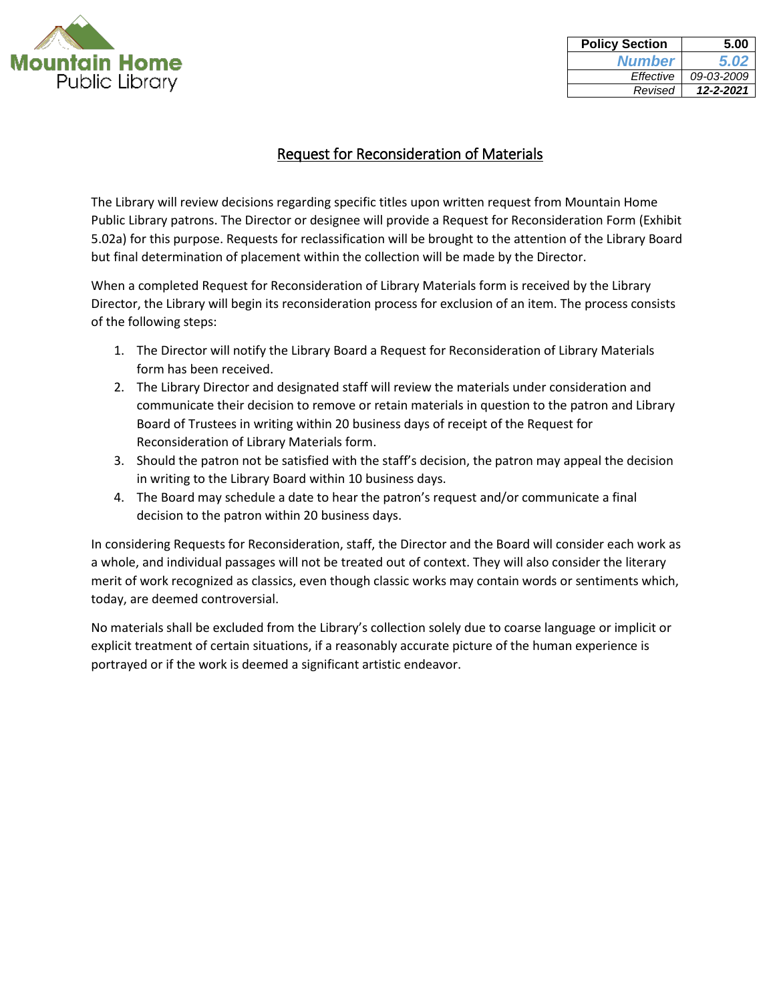

| <b>Policy Section</b> | 5.00       |
|-----------------------|------------|
| <b>Number</b>         | 5.02       |
| Effective             | 09-03-2009 |
| Revised               | 12-2-2021  |

## Request for Reconsideration of Materials

The Library will review decisions regarding specific titles upon written request from Mountain Home Public Library patrons. The Director or designee will provide a Request for Reconsideration Form (Exhibit 5.02a) for this purpose. Requests for reclassification will be brought to the attention of the Library Board but final determination of placement within the collection will be made by the Director.

When a completed Request for Reconsideration of Library Materials form is received by the Library Director, the Library will begin its reconsideration process for exclusion of an item. The process consists of the following steps:

- 1. The Director will notify the Library Board a Request for Reconsideration of Library Materials form has been received.
- 2. The Library Director and designated staff will review the materials under consideration and communicate their decision to remove or retain materials in question to the patron and Library Board of Trustees in writing within 20 business days of receipt of the Request for Reconsideration of Library Materials form.
- 3. Should the patron not be satisfied with the staff's decision, the patron may appeal the decision in writing to the Library Board within 10 business days.
- 4. The Board may schedule a date to hear the patron's request and/or communicate a final decision to the patron within 20 business days.

In considering Requests for Reconsideration, staff, the Director and the Board will consider each work as a whole, and individual passages will not be treated out of context. They will also consider the literary merit of work recognized as classics, even though classic works may contain words or sentiments which, today, are deemed controversial.

No materials shall be excluded from the Library's collection solely due to coarse language or implicit or explicit treatment of certain situations, if a reasonably accurate picture of the human experience is portrayed or if the work is deemed a significant artistic endeavor.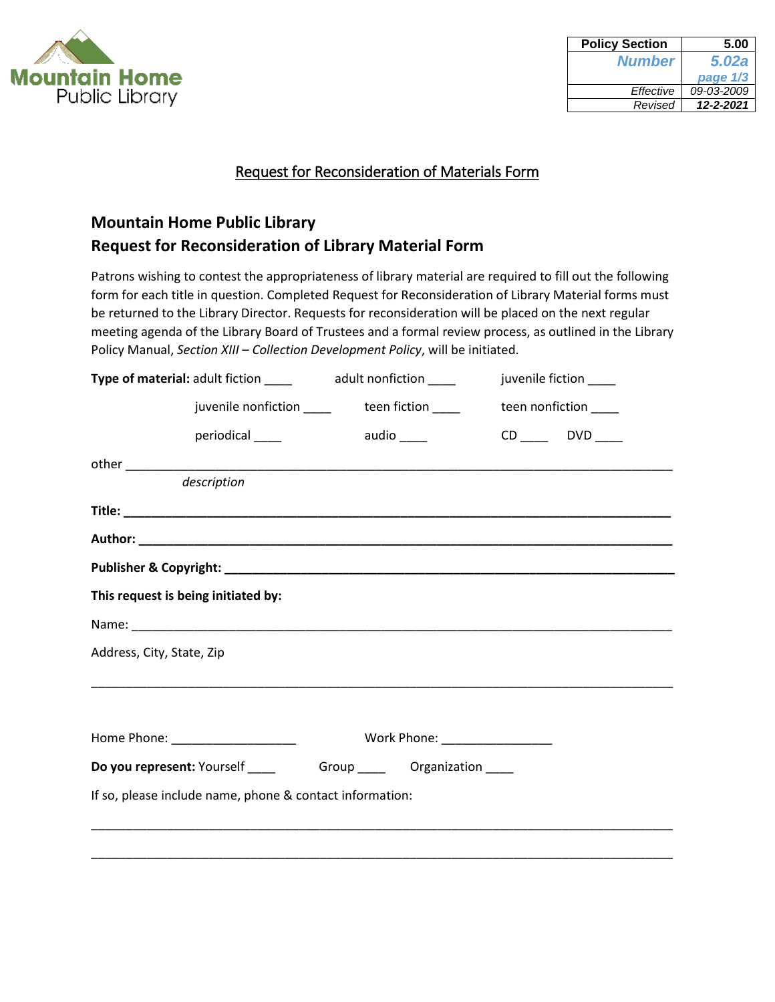

| <b>Policy Section</b> | 5.00         |
|-----------------------|--------------|
| <b>Number</b>         | <b>5.02a</b> |
|                       | page 1/3     |
| Effective             | 09-03-2009   |
| Revised               | 12-2-2021    |

## Request for Reconsideration of Materials Form

# **Mountain Home Public Library Request for Reconsideration of Library Material Form**

Patrons wishing to contest the appropriateness of library material are required to fill out the following form for each title in question. Completed Request for Reconsideration of Library Material forms must be returned to the Library Director. Requests for reconsideration will be placed on the next regular meeting agenda of the Library Board of Trustees and a formal review process, as outlined in the Library Policy Manual, *Section XIII – Collection Development Policy*, will be initiated.

|                                                          | Type of material: adult fiction ______ adult nonfiction _____                   |  |            |                               | juvenile fiction _____ |  |
|----------------------------------------------------------|---------------------------------------------------------------------------------|--|------------|-------------------------------|------------------------|--|
|                                                          | juvenile nonfiction ____________teen fiction _____________teen nonfiction _____ |  |            |                               |                        |  |
|                                                          | periodical____                                                                  |  | audio ____ |                               | $CD$ DVD ____          |  |
|                                                          |                                                                                 |  |            |                               |                        |  |
|                                                          | description                                                                     |  |            |                               |                        |  |
|                                                          |                                                                                 |  |            |                               |                        |  |
|                                                          |                                                                                 |  |            |                               |                        |  |
|                                                          |                                                                                 |  |            |                               |                        |  |
|                                                          | This request is being initiated by:                                             |  |            |                               |                        |  |
|                                                          |                                                                                 |  |            |                               |                        |  |
| Address, City, State, Zip                                |                                                                                 |  |            |                               |                        |  |
|                                                          |                                                                                 |  |            |                               |                        |  |
|                                                          | Home Phone: ______________________                                              |  |            | Work Phone: _________________ |                        |  |
|                                                          | Do you represent: Yourself _______________Group ____________Organization ______ |  |            |                               |                        |  |
| If so, please include name, phone & contact information: |                                                                                 |  |            |                               |                        |  |
|                                                          |                                                                                 |  |            |                               |                        |  |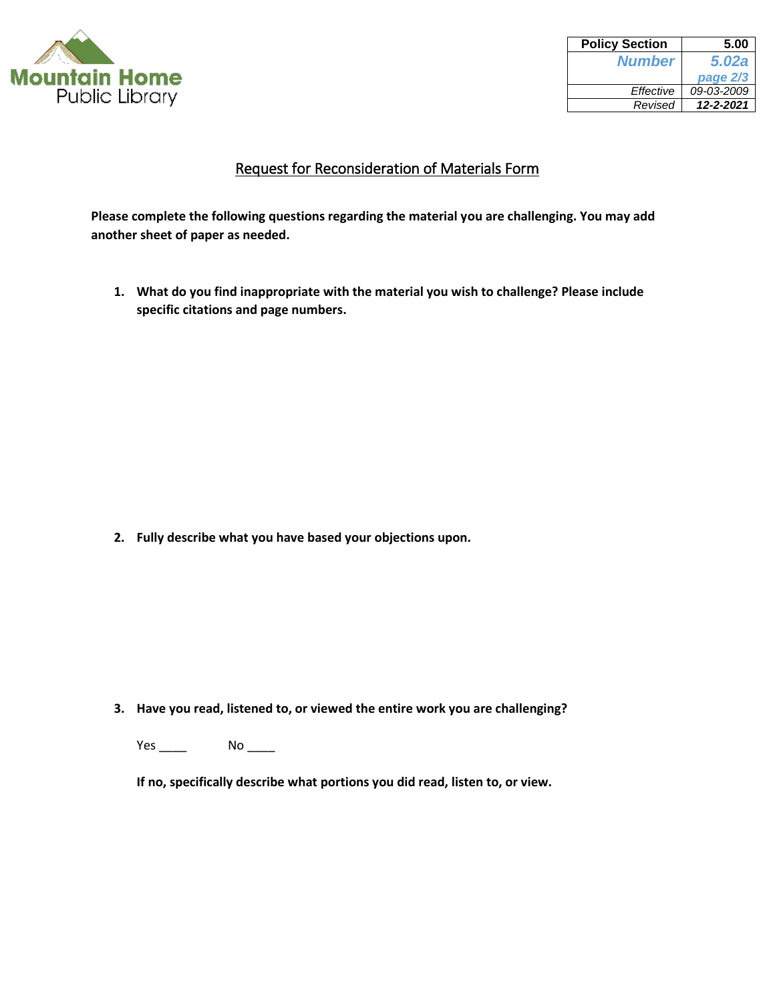

| <b>Policy Section</b> | 5.00       |
|-----------------------|------------|
| <b>Number</b>         | 5.02a      |
|                       | page 2/3   |
| Effective             | 09-03-2009 |
| Revised               | 12-2-2021  |
|                       |            |

## Request for Reconsideration of Materials Form

**Please complete the following questions regarding the material you are challenging. You may add another sheet of paper as needed.** 

**1. What do you find inappropriate with the material you wish to challenge? Please include specific citations and page numbers.** 

**2. Fully describe what you have based your objections upon.** 

**3. Have you read, listened to, or viewed the entire work you are challenging?** 

Yes \_\_\_\_\_\_ No \_\_\_\_\_

**If no, specifically describe what portions you did read, listen to, or view.**